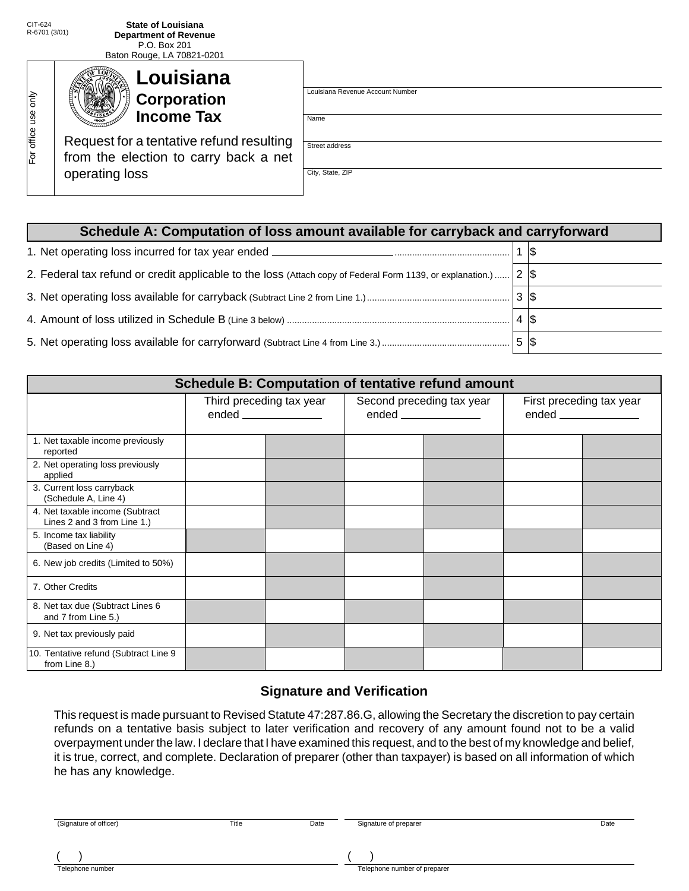For office use only

For office use only

CIT-624

Baton Rouge, LA 70821-0201

| Louisiana<br>Corporation<br><b>Income Tax</b>                                                       | Louisiana Revenue Account Number<br>Name |
|-----------------------------------------------------------------------------------------------------|------------------------------------------|
| Request for a tentative refund resulting<br>from the election to carry back a net<br>operating loss | Street address<br>City, State, ZIP       |

| Schedule A: Computation of loss amount available for carryback and carryforward                                  |      |  |  |  |  |  |
|------------------------------------------------------------------------------------------------------------------|------|--|--|--|--|--|
|                                                                                                                  |      |  |  |  |  |  |
| 2. Federal tax refund or credit applicable to the loss (Attach copy of Federal Form 1139, or explanation.) $ 2 $ |      |  |  |  |  |  |
|                                                                                                                  |      |  |  |  |  |  |
|                                                                                                                  | 4 \$ |  |  |  |  |  |
|                                                                                                                  |      |  |  |  |  |  |

| Schedule B: Computation of tentative refund amount             |                          |  |                           |  |                                                  |  |
|----------------------------------------------------------------|--------------------------|--|---------------------------|--|--------------------------------------------------|--|
|                                                                | Third preceding tax year |  | Second preceding tax year |  | First preceding tax year<br>ended ______________ |  |
| 1. Net taxable income previously<br>reported                   |                          |  |                           |  |                                                  |  |
| 2. Net operating loss previously<br>applied                    |                          |  |                           |  |                                                  |  |
| 3. Current loss carryback<br>(Schedule A, Line 4)              |                          |  |                           |  |                                                  |  |
| 4. Net taxable income (Subtract<br>Lines 2 and 3 from Line 1.) |                          |  |                           |  |                                                  |  |
| 5. Income tax liability<br>(Based on Line 4)                   |                          |  |                           |  |                                                  |  |
| 6. New job credits (Limited to 50%)                            |                          |  |                           |  |                                                  |  |
| 7. Other Credits                                               |                          |  |                           |  |                                                  |  |
| 8. Net tax due (Subtract Lines 6<br>and 7 from Line 5.)        |                          |  |                           |  |                                                  |  |
| 9. Net tax previously paid                                     |                          |  |                           |  |                                                  |  |
| 10. Tentative refund (Subtract Line 9<br>from Line 8.)         |                          |  |                           |  |                                                  |  |

## **Signature and Verification**

This request is made pursuant to Revised Statute 47:287.86.G, allowing the Secretary the discretion to pay certain refunds on a tentative basis subject to later verification and recovery of any amount found not to be a valid overpayment under the law. I declare that I have examined this request, and to the best of my knowledge and belief, it is true, correct, and complete. Declaration of preparer (other than taxpayer) is based on all information of which he has any knowledge.

| (Signature of officer) | Title | Date | Signature of preparer        | Date |
|------------------------|-------|------|------------------------------|------|
| Telephone number       |       |      | Telephone number of preparer |      |